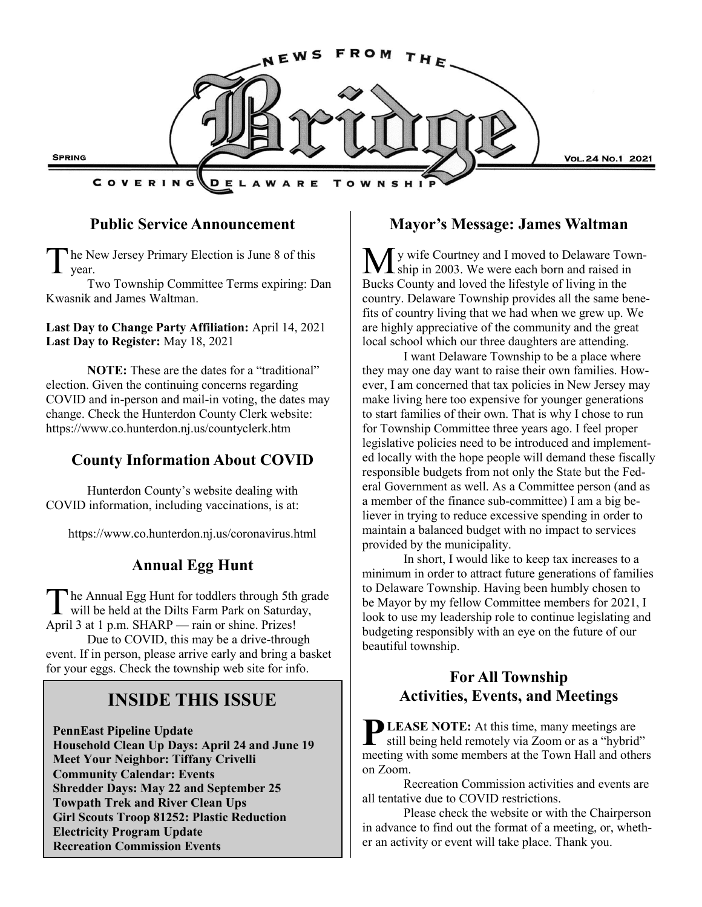

#### **Public Service Announcement**

The N<br>year. he New Jersey Primary Election is June 8 of this

Two Township Committee Terms expiring: Dan Kwasnik and James Waltman.

**Last Day to Change Party Affiliation:** April 14, 2021 **Last Day to Register:** May 18, 2021

**NOTE:** These are the dates for a "traditional" election. Given the continuing concerns regarding COVID and in-person and mail-in voting, the dates may change. Check the Hunterdon County Clerk website: https://www.co.hunterdon.nj.us/countyclerk.htm

## **County Information About COVID**

Hunterdon County's website dealing with COVID information, including vaccinations, is at:

https://www.co.hunterdon.nj.us/coronavirus.html

### **Annual Egg Hunt**

The Annual Egg Hunt for toddlers through 5th grawill be held at the Dilts Farm Park on Saturday, he Annual Egg Hunt for toddlers through 5th grade April 3 at 1 p.m. SHARP — rain or shine. Prizes! Due to COVID, this may be a drive-through event. If in person, please arrive early and bring a basket for your eggs. Check the township web site for info.

# **INSIDE THIS ISSUE**

**PennEast Pipeline Update Household Clean Up Days: April 24 and June 19 Meet Your Neighbor: Tiffany Crivelli Community Calendar: Events Shredder Days: May 22 and September 25 Towpath Trek and River Clean Ups Girl Scouts Troop 81252: Plastic Reduction Electricity Program Update Recreation Commission Events**

#### **Mayor's Message: James Waltman**

y wife Courtney and I moved to Delaware Town-I ship in 2003. We were each born and raised in Bucks County and loved the lifestyle of living in the country. Delaware Township provides all the same benefits of country living that we had when we grew up. We are highly appreciative of the community and the great local school which our three daughters are attending.

I want Delaware Township to be a place where they may one day want to raise their own families. However, I am concerned that tax policies in New Jersey may make living here too expensive for younger generations to start families of their own. That is why I chose to run for Township Committee three years ago. I feel proper legislative policies need to be introduced and implemented locally with the hope people will demand these fiscally responsible budgets from not only the State but the Federal Government as well. As a Committee person (and as a member of the finance sub-committee) I am a big believer in trying to reduce excessive spending in order to maintain a balanced budget with no impact to services provided by the municipality.

In short, I would like to keep tax increases to a minimum in order to attract future generations of families to Delaware Township. Having been humbly chosen to be Mayor by my fellow Committee members for 2021, I look to use my leadership role to continue legislating and budgeting responsibly with an eye on the future of our beautiful township.

### **For All Township Activities, Events, and Meetings**

**P** LEASE NOTE: At this time, many meetings are still being held remotely via Zoom or as a "hybrid" **LEASE NOTE:** At this time, many meetings are meeting with some members at the Town Hall and others on Zoom.

Recreation Commission activities and events are all tentative due to COVID restrictions.

Please check the website or with the Chairperson in advance to find out the format of a meeting, or, whether an activity or event will take place. Thank you.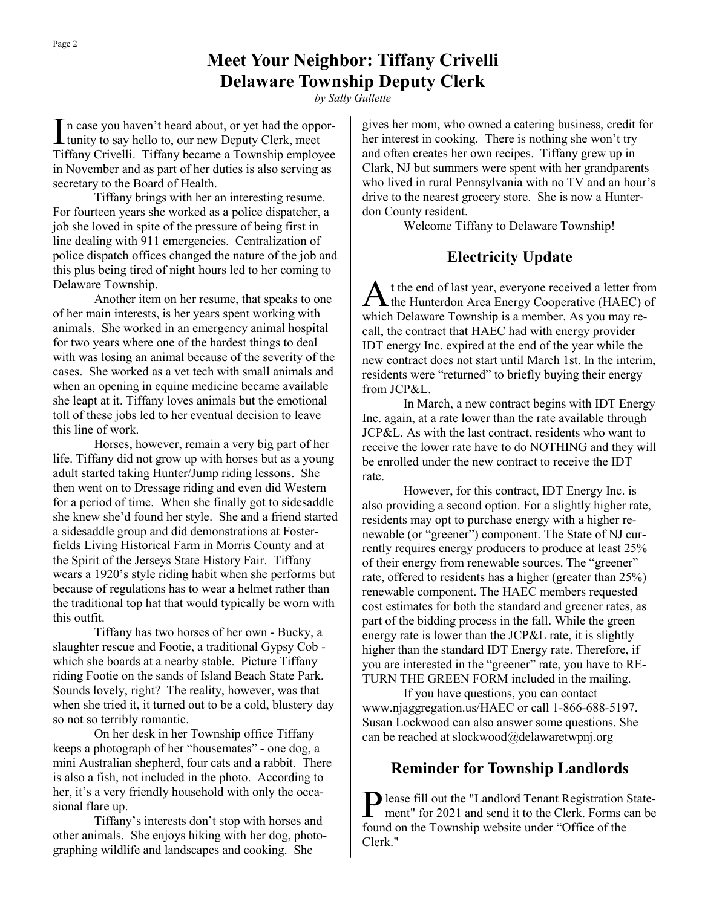In case you haven't heard about, or yet had the opportunity to say hello to, our new Deputy Clerk, meet n case you haven't heard about, or yet had the oppor-Tiffany Crivelli. Tiffany became a Township employee in November and as part of her duties is also serving as secretary to the Board of Health.

Tiffany brings with her an interesting resume. For fourteen years she worked as a police dispatcher, a job she loved in spite of the pressure of being first in line dealing with 911 emergencies. Centralization of police dispatch offices changed the nature of the job and this plus being tired of night hours led to her coming to Delaware Township.

Another item on her resume, that speaks to one of her main interests, is her years spent working with animals. She worked in an emergency animal hospital for two years where one of the hardest things to deal with was losing an animal because of the severity of the cases. She worked as a vet tech with small animals and when an opening in equine medicine became available she leapt at it. Tiffany loves animals but the emotional toll of these jobs led to her eventual decision to leave this line of work.

Horses, however, remain a very big part of her life. Tiffany did not grow up with horses but as a young adult started taking Hunter/Jump riding lessons. She then went on to Dressage riding and even did Western for a period of time. When she finally got to sidesaddle she knew she'd found her style. She and a friend started a sidesaddle group and did demonstrations at Fosterfields Living Historical Farm in Morris County and at the Spirit of the Jerseys State History Fair. Tiffany wears a 1920's style riding habit when she performs but because of regulations has to wear a helmet rather than the traditional top hat that would typically be worn with this outfit.

Tiffany has two horses of her own - Bucky, a slaughter rescue and Footie, a traditional Gypsy Cob which she boards at a nearby stable. Picture Tiffany riding Footie on the sands of Island Beach State Park. Sounds lovely, right? The reality, however, was that when she tried it, it turned out to be a cold, blustery day so not so terribly romantic.

On her desk in her Township office Tiffany keeps a photograph of her "housemates" - one dog, a mini Australian shepherd, four cats and a rabbit. There is also a fish, not included in the photo. According to her, it's a very friendly household with only the occasional flare up.

Tiffany's interests don't stop with horses and other animals. She enjoys hiking with her dog, photographing wildlife and landscapes and cooking. She

gives her mom, who owned a catering business, credit for her interest in cooking. There is nothing she won't try and often creates her own recipes. Tiffany grew up in Clark, NJ but summers were spent with her grandparents who lived in rural Pennsylvania with no TV and an hour's drive to the nearest grocery store. She is now a Hunterdon County resident.

Welcome Tiffany to Delaware Township!

### **Electricity Update**

A t the end of last year, everyone received a letter from the Hunterdon Area Energy Cooperative (HAEC) of which Delaware Township is a member. As you may recall, the contract that HAEC had with energy provider IDT energy Inc. expired at the end of the year while the new contract does not start until March 1st. In the interim, residents were "returned" to briefly buying their energy from JCP&L.

In March, a new contract begins with IDT Energy Inc. again, at a rate lower than the rate available through JCP&L. As with the last contract, residents who want to receive the lower rate have to do NOTHING and they will be enrolled under the new contract to receive the IDT rate.

However, for this contract, IDT Energy Inc. is also providing a second option. For a slightly higher rate, residents may opt to purchase energy with a higher renewable (or "greener") component. The State of NJ currently requires energy producers to produce at least 25% of their energy from renewable sources. The "greener" rate, offered to residents has a higher (greater than 25%) renewable component. The HAEC members requested cost estimates for both the standard and greener rates, as part of the bidding process in the fall. While the green energy rate is lower than the JCP&L rate, it is slightly higher than the standard IDT Energy rate. Therefore, if you are interested in the "greener" rate, you have to RE-TURN THE GREEN FORM included in the mailing.

If you have questions, you can contact www.njaggregation.us/HAEC or call 1-866-688-5197. Susan Lockwood can also answer some questions. She can be reached at slockwood@delawaretwpnj.org

### **Reminder for Township Landlords**

Please fill out the "Landlord Tenant Registration State-<br>ment" for 2021 and send it to the Clerk. Forms can be ment" for 2021 and send it to the Clerk. Forms can be found on the Township website under "Office of the Clerk."

*by Sally Gullette*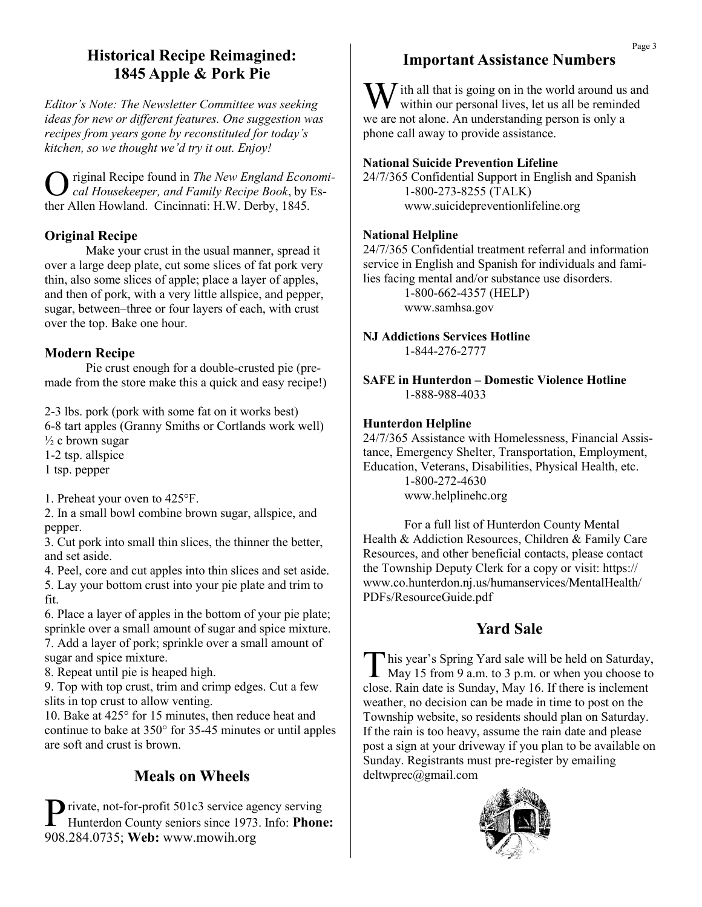# **Historical Recipe Reimagined: 1845 Apple & Pork Pie**

*Editor's Note: The Newsletter Committee was seeking ideas for new or different features. One suggestion was recipes from years gone by reconstituted for today's kitchen, so we thought we'd try it out. Enjoy!*

O riginal Recipe found in *The New England Economical Housekeeper, and Family Recipe Book*, by Esther Allen Howland. Cincinnati: H.W. Derby, 1845.

### **Original Recipe**

Make your crust in the usual manner, spread it over a large deep plate, cut some slices of fat pork very thin, also some slices of apple; place a layer of apples, and then of pork, with a very little allspice, and pepper, sugar, between–three or four layers of each, with crust over the top. Bake one hour.

### **Modern Recipe**

Pie crust enough for a double-crusted pie (premade from the store make this a quick and easy recipe!)

2-3 lbs. pork (pork with some fat on it works best)

6-8 tart apples (Granny Smiths or Cortlands work well)

 $\frac{1}{2}$  c brown sugar

1-2 tsp. allspice

1 tsp. pepper

1. Preheat your oven to 425°F.

2. In a small bowl combine brown sugar, allspice, and pepper.

3. Cut pork into small thin slices, the thinner the better, and set aside.

4. Peel, core and cut apples into thin slices and set aside. 5. Lay your bottom crust into your pie plate and trim to fit.

6. Place a layer of apples in the bottom of your pie plate; sprinkle over a small amount of sugar and spice mixture. 7. Add a layer of pork; sprinkle over a small amount of sugar and spice mixture.

8. Repeat until pie is heaped high.

9. Top with top crust, trim and crimp edges. Cut a few slits in top crust to allow venting.

10. Bake at 425° for 15 minutes, then reduce heat and continue to bake at 350° for 35-45 minutes or until apples are soft and crust is brown.

# **Meals on Wheels**

Private, not-for-profit 501c3 service agency serving<br>Hunterdon County seniors since 1973. Info: **Phone: T** rivate, not-for-profit 501c3 service agency serving 908.284.0735; **Web:** www.mowih.org

# **Important Assistance Numbers**

W ith all that is going on in the world around us and within our personal lives, let us all be reminded we are not alone. An understanding person is only a phone call away to provide assistance.

#### **National Suicide Prevention Lifeline**

24/7/365 Confidential Support in English and Spanish 1-800-273-8255 (TALK) www.suicidepreventionlifeline.org

#### **National Helpline**

24/7/365 Confidential treatment referral and information service in English and Spanish for individuals and families facing mental and/or substance use disorders.

> 1-800-662-4357 (HELP) www.samhsa.gov

**NJ Addictions Services Hotline** 1-844-276-2777

**SAFE in Hunterdon – Domestic Violence Hotline** 1-888-988-4033

#### **Hunterdon Helpline**

24/7/365 Assistance with Homelessness, Financial Assistance, Emergency Shelter, Transportation, Employment, Education, Veterans, Disabilities, Physical Health, etc. 1-800-272-4630 www.helplinehc.org

For a full list of Hunterdon County Mental Health & Addiction Resources, Children & Family Care Resources, and other beneficial contacts, please contact the Township Deputy Clerk for a copy or visit: https:// www.co.hunterdon.nj.us/humanservices/MentalHealth/ PDFs/ResourceGuide.pdf

# **Yard Sale**

This year's Spring Yard sale will be held on Saturday,<br>May 15 from 9 a.m. to 3 p.m. or when you choose to his year's Spring Yard sale will be held on Saturday, close. Rain date is Sunday, May 16. If there is inclement weather, no decision can be made in time to post on the Township website, so residents should plan on Saturday. If the rain is too heavy, assume the rain date and please post a sign at your driveway if you plan to be available on Sunday. Registrants must pre-register by emailing deltwprec@gmail.com

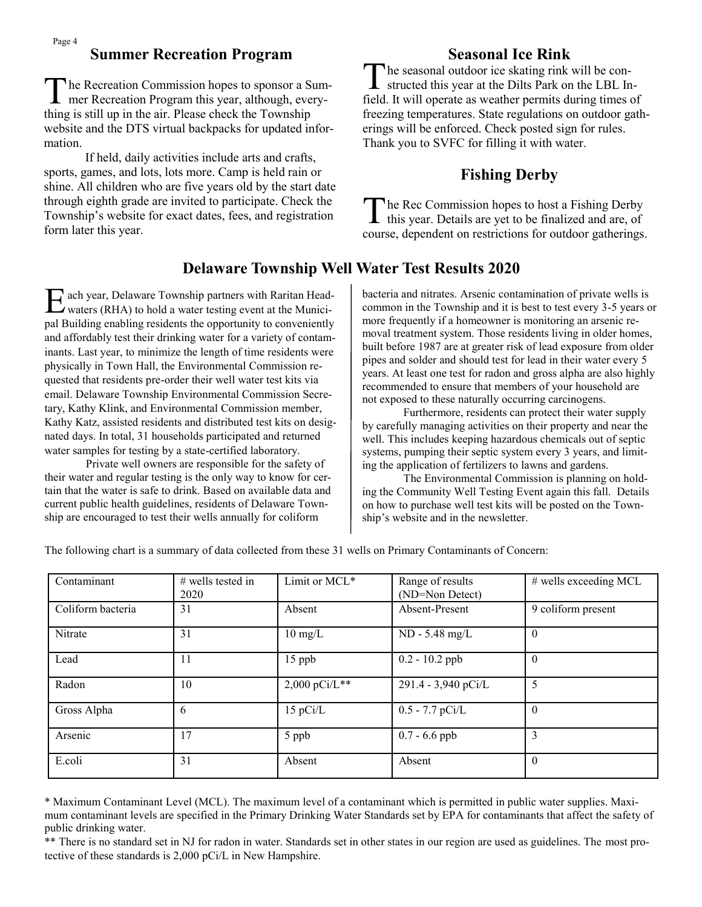### **Summer Recreation Program**

The Recreation Commission hopes to sponsor a Sum<br>mer Recreation Program this year, although, everyhe Recreation Commission hopes to sponsor a Sumthing is still up in the air. Please check the Township website and the DTS virtual backpacks for updated information.

If held, daily activities include arts and crafts, sports, games, and lots, lots more. Camp is held rain or shine. All children who are five years old by the start date through eighth grade are invited to participate. Check the Township's website for exact dates, fees, and registration form later this year.

# **Seasonal Ice Rink**

 $\prod_{\alpha=1}^{\infty}$ he seasonal outdoor ice skating rink will be constructed this year at the Dilts Park on the LBL Infield. It will operate as weather permits during times of freezing temperatures. State regulations on outdoor gatherings will be enforced. Check posted sign for rules. Thank you to SVFC for filling it with water.

# **Fishing Derby**

The Rec Commission hopes to host a Fishing Derby<br>this year. Details are yet to be finalized and are, of he Rec Commission hopes to host a Fishing Derby course, dependent on restrictions for outdoor gatherings.

# **Delaware Township Well Water Test Results 2020**

E ach year, Delaware Township partners with Raritan Headwaters (RHA) to hold a water testing event at the Municiach year, Delaware Township partners with Raritan Headpal Building enabling residents the opportunity to conveniently and affordably test their drinking water for a variety of contaminants. Last year, to minimize the length of time residents were physically in Town Hall, the Environmental Commission requested that residents pre-order their well water test kits via email. Delaware Township Environmental Commission Secretary, Kathy Klink, and Environmental Commission member, Kathy Katz, assisted residents and distributed test kits on designated days. In total, 31 households participated and returned water samples for testing by a state-certified laboratory.

Private well owners are responsible for the safety of their water and regular testing is the only way to know for certain that the water is safe to drink. Based on available data and current public health guidelines, residents of Delaware Township are encouraged to test their wells annually for coliform

bacteria and nitrates. Arsenic contamination of private wells is common in the Township and it is best to test every 3-5 years or more frequently if a homeowner is monitoring an arsenic removal treatment system. Those residents living in older homes, built before 1987 are at greater risk of lead exposure from older pipes and solder and should test for lead in their water every 5 years. At least one test for radon and gross alpha are also highly recommended to ensure that members of your household are not exposed to these naturally occurring carcinogens.

Furthermore, residents can protect their water supply by carefully managing activities on their property and near the well. This includes keeping hazardous chemicals out of septic systems, pumping their septic system every 3 years, and limiting the application of fertilizers to lawns and gardens.

The Environmental Commission is planning on holding the Community Well Testing Event again this fall. Details on how to purchase well test kits will be posted on the Township's website and in the newsletter.

The following chart is a summary of data collected from these 31 wells on Primary Contaminants of Concern:

| Contaminant       | # wells tested in<br>2020 | Limit or MCL*            | Range of results<br>(ND=Non Detect) | $#$ wells exceeding MCL |  |  |
|-------------------|---------------------------|--------------------------|-------------------------------------|-------------------------|--|--|
| Coliform bacteria | 31                        | Absent                   | Absent-Present                      | 9 coliform present      |  |  |
| Nitrate           | 31                        | $10 \text{ mg/L}$        | ND - 5.48 mg/L                      | $\theta$                |  |  |
| Lead              | 11                        | $15$ ppb                 | $0.2 - 10.2$ ppb                    | $\theta$                |  |  |
| Radon             | 10                        | $2,000 \text{ pCi/L}$ ** | 291.4 - 3,940 pCi/L                 | 5                       |  |  |
| Gross Alpha       | 6                         | $15$ pCi/L               | $0.5 - 7.7$ pCi/L                   | $\theta$                |  |  |
| Arsenic           | 17                        | 5 ppb                    | $0.7 - 6.6$ ppb                     | 3                       |  |  |
| E.coli            | 31                        | Absent                   | Absent                              | $\theta$                |  |  |

\* Maximum Contaminant Level (MCL). The maximum level of a contaminant which is permitted in public water supplies. Maximum contaminant levels are specified in the Primary Drinking Water Standards set by EPA for contaminants that affect the safety of public drinking water.

\*\* There is no standard set in NJ for radon in water. Standards set in other states in our region are used as guidelines. The most protective of these standards is 2,000 pCi/L in New Hampshire.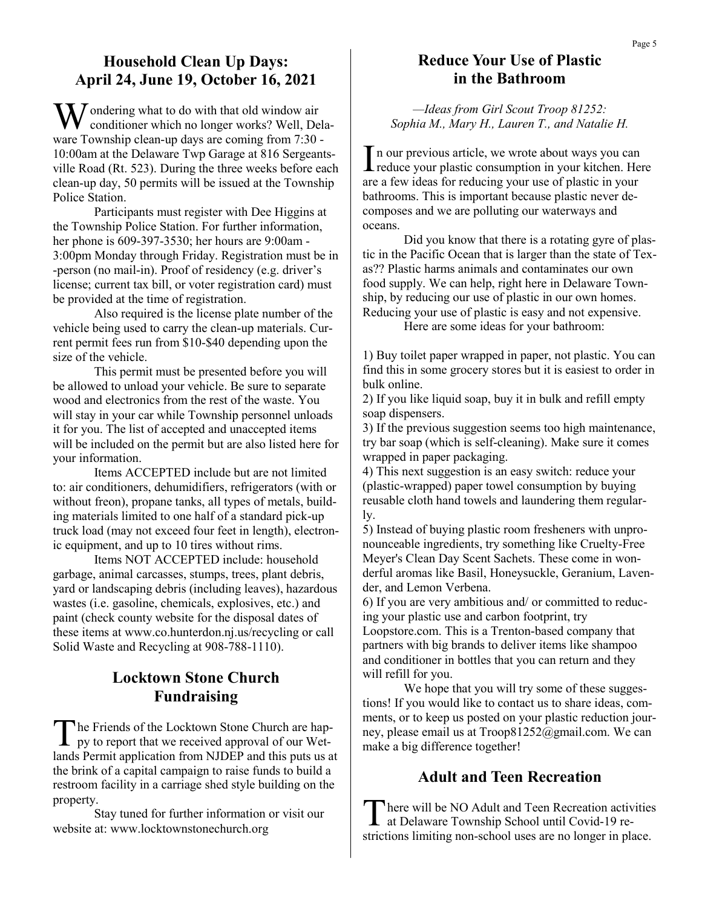### **Household Clean Up Days: April 24, June 19, October 16, 2021**

 $\sum$  / ondering what to do with that old window air conditioner which no longer works? Well, Delaware Township clean-up days are coming from 7:30 - 10:00am at the Delaware Twp Garage at 816 Sergeantsville Road (Rt. 523). During the three weeks before each clean-up day, 50 permits will be issued at the Township Police Station.

Participants must register with Dee Higgins at the Township Police Station. For further information, her phone is 609-397-3530; her hours are 9:00am - 3:00pm Monday through Friday. Registration must be in -person (no mail-in). Proof of residency (e.g. driver's license; current tax bill, or voter registration card) must be provided at the time of registration.

Also required is the license plate number of the vehicle being used to carry the clean-up materials. Current permit fees run from \$10-\$40 depending upon the size of the vehicle.

This permit must be presented before you will be allowed to unload your vehicle. Be sure to separate wood and electronics from the rest of the waste. You will stay in your car while Township personnel unloads it for you. The list of accepted and unaccepted items will be included on the permit but are also listed here for your information.

Items ACCEPTED include but are not limited to: air conditioners, dehumidifiers, refrigerators (with or without freon), propane tanks, all types of metals, building materials limited to one half of a standard pick-up truck load (may not exceed four feet in length), electronic equipment, and up to 10 tires without rims.

Items NOT ACCEPTED include: household garbage, animal carcasses, stumps, trees, plant debris, yard or landscaping debris (including leaves), hazardous wastes (i.e. gasoline, chemicals, explosives, etc.) and paint (check county website for the disposal dates of these items at www.co.hunterdon.nj.us/recycling or call Solid Waste and Recycling at 908-788-1110).

### **Locktown Stone Church Fundraising**

The Friends of the Locktown Stone Church are happy to report that we received approval of our Wethe Friends of the Locktown Stone Church are haplands Permit application from NJDEP and this puts us at the brink of a capital campaign to raise funds to build a restroom facility in a carriage shed style building on the property.

Stay tuned for further information or visit our website at: www.locktownstonechurch.org

### **Reduce Your Use of Plastic in the Bathroom**

*—Ideas from Girl Scout Troop 81252: Sophia M., Mary H., Lauren T., and Natalie H.*

In our previous article, we wrote about ways you can<br>reduce your plastic consumption in your kitchen. Here I n our previous article, we wrote about ways you can are a few ideas for reducing your use of plastic in your bathrooms. This is important because plastic never decomposes and we are polluting our waterways and oceans.

Did you know that there is a rotating gyre of plastic in the Pacific Ocean that is larger than the state of Texas?? Plastic harms animals and contaminates our own food supply. We can help, right here in Delaware Township, by reducing our use of plastic in our own homes. Reducing your use of plastic is easy and not expensive.

Here are some ideas for your bathroom:

1) Buy toilet paper wrapped in paper, not plastic. You can find this in some grocery stores but it is easiest to order in bulk online.

2) If you like liquid soap, buy it in bulk and refill empty soap dispensers.

3) If the previous suggestion seems too high maintenance, try bar soap (which is self-cleaning). Make sure it comes wrapped in paper packaging.

4) This next suggestion is an easy switch: reduce your (plastic-wrapped) paper towel consumption by buying reusable cloth hand towels and laundering them regularly.

5) Instead of buying plastic room fresheners with unpronounceable ingredients, try something like Cruelty-Free Meyer's Clean Day Scent Sachets. These come in wonderful aromas like Basil, Honeysuckle, Geranium, Lavender, and Lemon Verbena.

6) If you are very ambitious and/ or committed to reducing your plastic use and carbon footprint, try

Loopstore.com. This is a Trenton-based company that partners with big brands to deliver items like shampoo and conditioner in bottles that you can return and they will refill for you.

We hope that you will try some of these suggestions! If you would like to contact us to share ideas, comments, or to keep us posted on your plastic reduction journey, please email us at Troop81252@gmail.com. We can make a big difference together!

### **Adult and Teen Recreation**

There will be NO Adult and Teen Recreation active at Delaware Township School until Covid-19 rehere will be NO Adult and Teen Recreation activities strictions limiting non-school uses are no longer in place.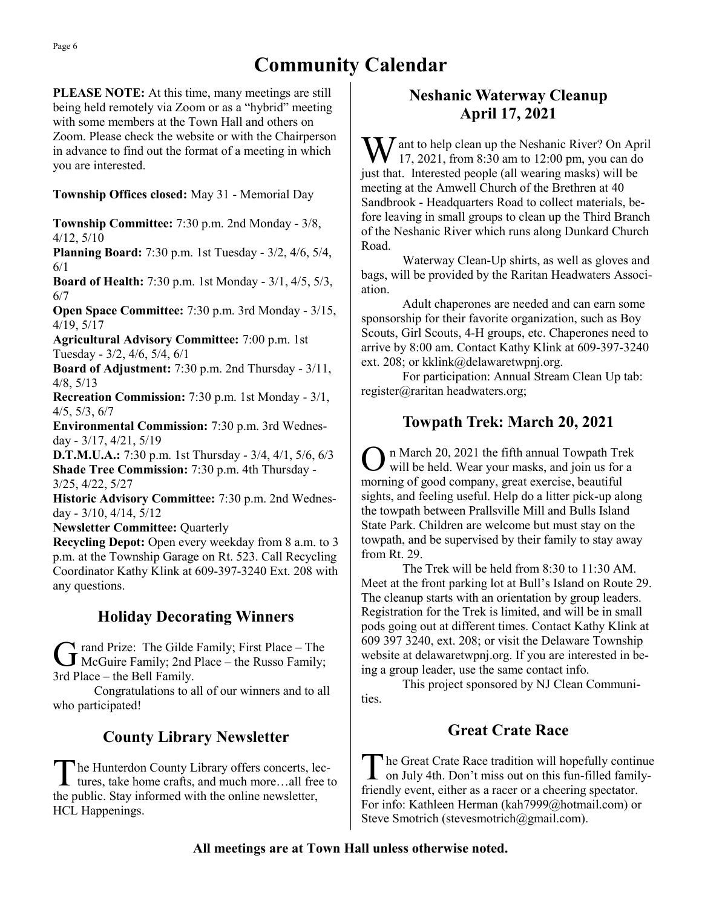# **Community Calendar**

**PLEASE NOTE:** At this time, many meetings are still being held remotely via Zoom or as a "hybrid" meeting with some members at the Town Hall and others on Zoom. Please check the website or with the Chairperson in advance to find out the format of a meeting in which you are interested.

#### **Township Offices closed:** May 31 - Memorial Day

**Township Committee:** 7:30 p.m. 2nd Monday - 3/8, 4/12, 5/10

**Planning Board:** 7:30 p.m. 1st Tuesday - 3/2, 4/6, 5/4, 6/1

**Board of Health:** 7:30 p.m. 1st Monday - 3/1, 4/5, 5/3, 6/7

**Open Space Committee:** 7:30 p.m. 3rd Monday - 3/15, 4/19, 5/17

**Agricultural Advisory Committee:** 7:00 p.m. 1st Tuesday - 3/2, 4/6, 5/4, 6/1

**Board of Adjustment:** 7:30 p.m. 2nd Thursday - 3/11, 4/8, 5/13

**Recreation Commission:** 7:30 p.m. 1st Monday - 3/1, 4/5, 5/3, 6/7

**Environmental Commission:** 7:30 p.m. 3rd Wednesday - 3/17, 4/21, 5/19

**D.T.M.U.A.:** 7:30 p.m. 1st Thursday - 3/4, 4/1, 5/6, 6/3 **Shade Tree Commission:** 7:30 p.m. 4th Thursday - 3/25, 4/22, 5/27

**Historic Advisory Committee:** 7:30 p.m. 2nd Wednesday - 3/10, 4/14, 5/12

**Newsletter Committee:** Quarterly

**Recycling Depot:** Open every weekday from 8 a.m. to 3 p.m. at the Township Garage on Rt. 523. Call Recycling Coordinator Kathy Klink at 609-397-3240 Ext. 208 with any questions.

# **Holiday Decorating Winners**

G rand Prize: The Gilde Family; First Place – The McGuire Family; 2nd Place – the Russo Family; rand Prize: The Gilde Family; First Place – The 3rd Place – the Bell Family.

Congratulations to all of our winners and to all who participated!

# **County Library Newsletter**

The Hunterdon County Library offers concerts, lectures, take home crafts, and much more...all free to he Hunterdon County Library offers concerts, lecthe public. Stay informed with the online newsletter, HCL Happenings.

# **Neshanic Waterway Cleanup April 17, 2021**

 $\sum$  ant to help clean up the Neshanic River? On April 17, 2021, from 8:30 am to 12:00 pm, you can do just that. Interested people (all wearing masks) will be meeting at the Amwell Church of the Brethren at 40 Sandbrook - Headquarters Road to collect materials, before leaving in small groups to clean up the Third Branch of the Neshanic River which runs along Dunkard Church Road.

Waterway Clean-Up shirts, as well as gloves and bags, will be provided by the Raritan Headwaters Association.

Adult chaperones are needed and can earn some sponsorship for their favorite organization, such as Boy Scouts, Girl Scouts, 4-H groups, etc. Chaperones need to arrive by 8:00 am. Contact Kathy Klink at 609-397-3240 ext. 208; or kklink@delawaretwpnj.org.

For participation: Annual Stream Clean Up tab: register@raritan headwaters.org;

# **Towpath Trek: March 20, 2021**

O n March 20, 2021 the fifth annual Towpath Trek will be held. Wear your masks, and join us for a morning of good company, great exercise, beautiful sights, and feeling useful. Help do a litter pick-up along the towpath between Prallsville Mill and Bulls Island State Park. Children are welcome but must stay on the towpath, and be supervised by their family to stay away from Rt. 29.

The Trek will be held from 8:30 to 11:30 AM. Meet at the front parking lot at Bull's Island on Route 29. The cleanup starts with an orientation by group leaders. Registration for the Trek is limited, and will be in small pods going out at different times. Contact Kathy Klink at 609 397 3240, ext. 208; or visit the Delaware Township website at delawaretwpnj.org. If you are interested in being a group leader, use the same contact info.

This project sponsored by NJ Clean Communities.

# **Great Crate Race**

The Great Crate Race tradition will hopefully continue on July 4th. Don't miss out on this fun-filled familyhe Great Crate Race tradition will hopefully continue friendly event, either as a racer or a cheering spectator. For info: Kathleen Herman (kah7999@hotmail.com) or Steve Smotrich (stevesmotrich@gmail.com).

### **All meetings are at Town Hall unless otherwise noted.**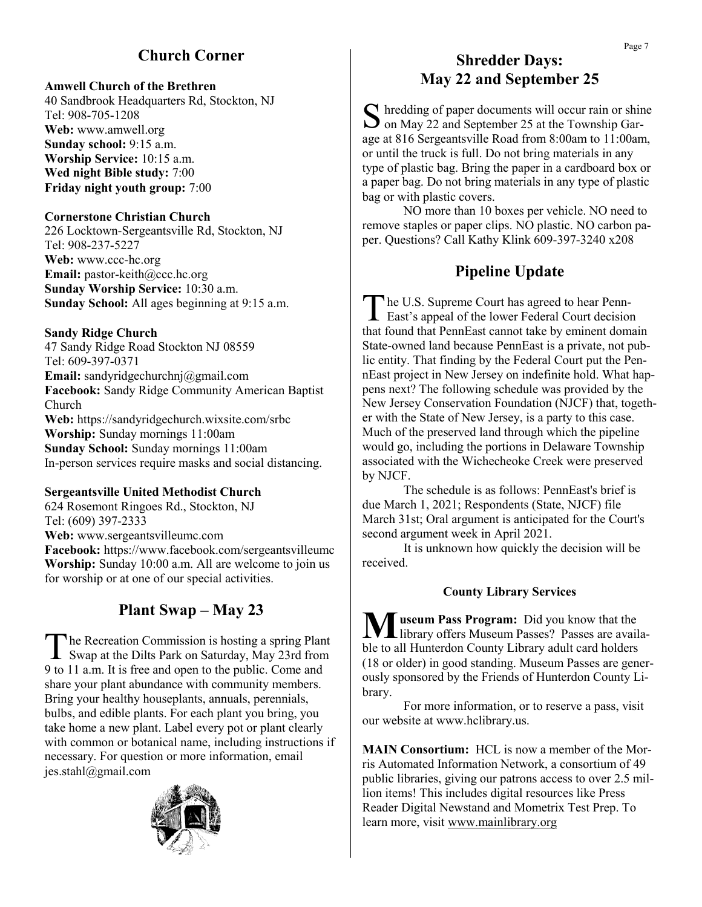# **Church Corner**

#### **Amwell Church of the Brethren**

40 Sandbrook Headquarters Rd, Stockton, NJ Tel: 908-705-1208 **Web:** www.amwell.org **Sunday school:** 9:15 a.m. **Worship Service:** 10:15 a.m. **Wed night Bible study:** 7:00 **Friday night youth group:** 7:00

#### **Cornerstone Christian Church**

226 Locktown-Sergeantsville Rd, Stockton, NJ Tel: 908-237-5227 **Web:** www.ccc-hc.org **Email:** pastor-keith@ccc.hc.org **Sunday Worship Service:** 10:30 a.m. **Sunday School:** All ages beginning at 9:15 a.m.

#### **Sandy Ridge Church**

47 Sandy Ridge Road Stockton NJ 08559 Tel: 609-397-0371 **Email:** sandyridgechurchnj@gmail.com **Facebook:** Sandy Ridge Community American Baptist Church **Web:** https://sandyridgechurch.wixsite.com/srbc **Worship:** Sunday mornings 11:00am **Sunday School:** Sunday mornings 11:00am In-person services require masks and social distancing.

#### **Sergeantsville United Methodist Church**

624 Rosemont Ringoes Rd., Stockton, NJ Tel: (609) 397-2333 **Web:** www.sergeantsvilleumc.com **Facebook:** https://www.facebook.com/sergeantsvilleumc **Worship:** Sunday 10:00 a.m. All are welcome to join us for worship or at one of our special activities.

# **Plant Swap – May 23**

The Recreation Commission is hosting a spring Plant<br>Swap at the Dilts Park on Saturday, May 23rd from he Recreation Commission is hosting a spring Plant 9 to 11 a.m. It is free and open to the public. Come and share your plant abundance with community members. Bring your healthy houseplants, annuals, perennials, bulbs, and edible plants. For each plant you bring, you take home a new plant. Label every pot or plant clearly with common or botanical name, including instructions if necessary. For question or more information, email jes.stahl@gmail.com



### **Shredder Days: May 22 and September 25**

S hredding of paper documents will occur rain or shir<br>
on May 22 and September 25 at the Township Gar- $\Gamma$  hredding of paper documents will occur rain or shine age at 816 Sergeantsville Road from 8:00am to 11:00am, or until the truck is full. Do not bring materials in any type of plastic bag. Bring the paper in a cardboard box or a paper bag. Do not bring materials in any type of plastic bag or with plastic covers.

NO more than 10 boxes per vehicle. NO need to remove staples or paper clips. NO plastic. NO carbon paper. Questions? Call Kathy Klink 609-397-3240 x208

### **Pipeline Update**

The U.S. Supreme Court has agreed to hear Penn-<br>East's appeal of the lower Federal Court decision he U.S. Supreme Court has agreed to hear Pennthat found that PennEast cannot take by eminent domain State-owned land because PennEast is a private, not public entity. That finding by the Federal Court put the PennEast project in New Jersey on indefinite hold. What happens next? The following schedule was provided by the New Jersey Conservation Foundation (NJCF) that, together with the State of New Jersey, is a party to this case. Much of the preserved land through which the pipeline would go, including the portions in Delaware Township associated with the Wichecheoke Creek were preserved by NJCF.

The schedule is as follows: PennEast's brief is due March 1, 2021; Respondents (State, NJCF) file March 31st; Oral argument is anticipated for the Court's second argument week in April 2021.

It is unknown how quickly the decision will be received.

#### **County Library Services**

**M** useum Pass Program: Did you know that the library offers Museum Passes? Passes are available to all Hunterdon County Library adult card holders (18 or older) in good standing. Museum Passes are generously sponsored by the Friends of Hunterdon County Library.

For more information, or to reserve a pass, visit our website at www.hclibrary.us.

**MAIN Consortium:** HCL is now a member of the Morris Automated Information Network, a consortium of 49 public libraries, giving our patrons access to over 2.5 million items! This includes digital resources like Press Reader Digital Newstand and Mometrix Test Prep. To learn more, visit [www.mainlibrary.org](http://www.mainlibrary.org)